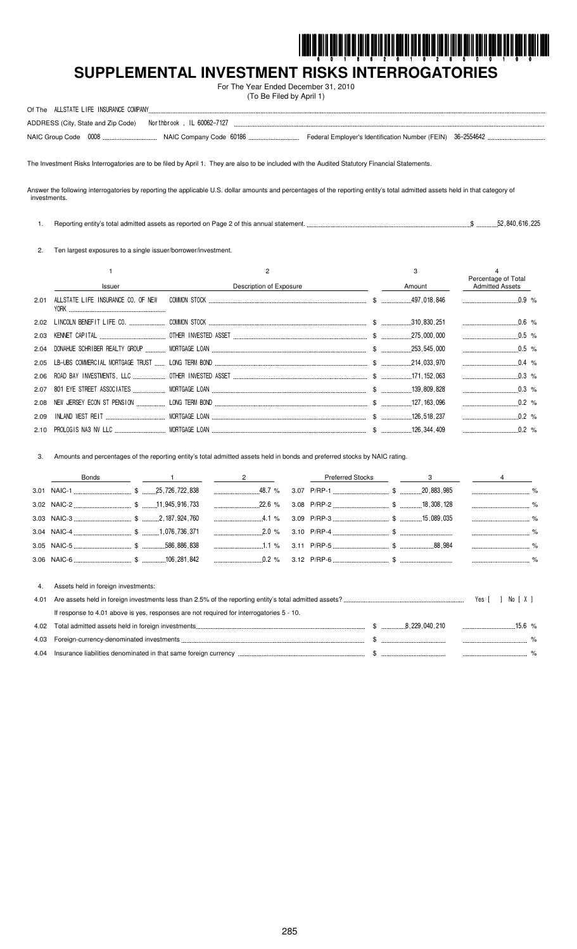

# SUPPLEMENTAL INVESTMENT RISKS INTERROGATORIES

For The Year Ended December 31, 2010 (To Be Filed by April 1)

| Of The ALLSTATE LIFE INSURANCE COMPANY                       |                                                             |  |
|--------------------------------------------------------------|-------------------------------------------------------------|--|
| ADDRESS (City, State and Zip Code) Northbrook, IL 60062-7127 |                                                             |  |
| NAIC Group Code 0008.<br>--------------------------------    | Federal Employer's Identification Number (FEIN) 36-2554642. |  |

The Investment Risks Interrogatories are to be filed by April 1. They are also to be included with the Audited Statutory Financial Statements.

Answer the following interrogatories by reporting the applicable U.S. dollar amounts and percentages of the reporting entity's total admitted assets held in that category of investments.

1. Reporting entity's total admitted assets as reported on Page 2 of this annual statement. ...  $\$\dots$ \$ ............52,840,616,225

2. Ten largest exposures to a single issuer/borrower/investment.

|      |                                         |                         | 3      | Percentage of Total    |  |
|------|-----------------------------------------|-------------------------|--------|------------------------|--|
|      | Issuer                                  | Description of Exposure | Amount | <b>Admitted Assets</b> |  |
|      | 2.01 ALLSTATE LIFE INSURANCE CO. OF NEW |                         |        |                        |  |
|      |                                         |                         |        | $0.6\%$                |  |
|      |                                         |                         |        | $0.5$ %                |  |
|      |                                         |                         |        | $\ldots$ 0.5 %         |  |
|      |                                         |                         |        | $0.4\%$                |  |
|      |                                         |                         |        | $0.3\%$                |  |
|      |                                         |                         |        |                        |  |
|      |                                         |                         |        |                        |  |
| 2.09 |                                         |                         |        |                        |  |
|      |                                         |                         |        | $0.2\%$                |  |

Amounts and percentages of the reporting entity's total admitted assets held in bonds and preferred stocks by NAIC rating.  $3.$ 

|      | <b>Bonds</b>                                                                             |  | $\overline{2}$ | <b>Preferred Stocks</b> | $3 \sim 3$ |         |        |               |
|------|------------------------------------------------------------------------------------------|--|----------------|-------------------------|------------|---------|--------|---------------|
|      |                                                                                          |  |                |                         |            |         |        |               |
|      |                                                                                          |  |                |                         |            |         |        | $\frac{1}{2}$ |
|      |                                                                                          |  | $\ldots$ 4.1 % |                         |            |         |        |               |
|      |                                                                                          |  | $2.0\%$        |                         |            |         |        |               |
|      |                                                                                          |  |                |                         |            |         |        |               |
|      |                                                                                          |  |                |                         |            |         |        |               |
|      |                                                                                          |  |                |                         |            |         |        |               |
| 4.   | Assets held in foreign investments:                                                      |  |                |                         |            |         |        |               |
| 4.01 |                                                                                          |  |                |                         |            | Yes [ ] | No [X] |               |
|      | If response to 4.01 above is yes, responses are not required for interrogatories 5 - 10. |  |                |                         |            |         |        |               |
| 4.02 |                                                                                          |  |                |                         |            |         |        |               |
| 4.03 |                                                                                          |  |                |                         |            |         |        |               |
| 4.04 |                                                                                          |  |                |                         |            |         |        |               |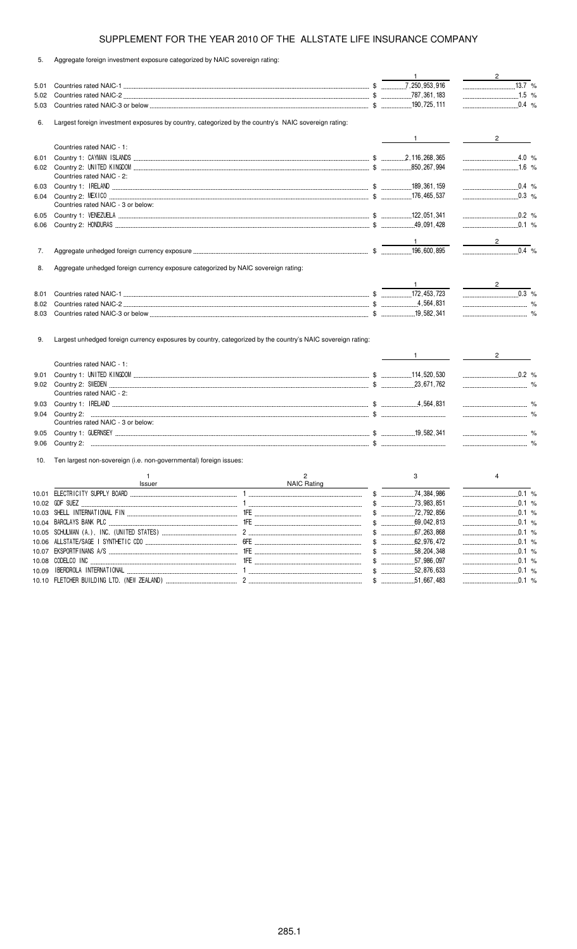5. Aggregate foreign investment exposure categorized by NAIC sovereign rating:

|       |                                                                                                             |                    | $\mathbf{1}$     | $\sim$ 2                                  |  |
|-------|-------------------------------------------------------------------------------------------------------------|--------------------|------------------|-------------------------------------------|--|
| 5.01  |                                                                                                             |                    |                  |                                           |  |
| 5.02  |                                                                                                             |                    |                  |                                           |  |
| 5.03  |                                                                                                             |                    |                  |                                           |  |
|       |                                                                                                             |                    |                  |                                           |  |
| 6.    | Largest foreign investment exposures by country, categorized by the country's NAIC sovereign rating:        |                    |                  |                                           |  |
|       |                                                                                                             |                    | $\frac{1}{1}$    | $\overline{2}$                            |  |
|       | Countries rated NAIC - 1:                                                                                   |                    |                  |                                           |  |
| 6.01  |                                                                                                             |                    |                  | $4.0\%$                                   |  |
| 6.02  |                                                                                                             |                    |                  | $\ldots$ 1.6 %                            |  |
|       | Countries rated NAIC - 2:                                                                                   |                    |                  |                                           |  |
| 6.03  |                                                                                                             |                    |                  | $0.4\%$                                   |  |
| 6.04  |                                                                                                             |                    |                  |                                           |  |
|       | Countries rated NAIC - 3 or below:                                                                          |                    |                  |                                           |  |
| 6.05  |                                                                                                             |                    |                  | $0.2$ %                                   |  |
| 6.06  |                                                                                                             |                    |                  | $\frac{1}{2}$ 0.1 %                       |  |
|       |                                                                                                             |                    |                  |                                           |  |
|       |                                                                                                             |                    |                  | $2 \qquad \qquad$                         |  |
| 7.    |                                                                                                             |                    |                  | $\overline{0.4}$ %                        |  |
|       |                                                                                                             |                    |                  |                                           |  |
| 8.    | Aggregate unhedged foreign currency exposure categorized by NAIC sovereign rating:                          |                    |                  |                                           |  |
|       |                                                                                                             |                    |                  | $\frac{2}{\sqrt{2}}$                      |  |
| 8.01  |                                                                                                             |                    |                  | $0.3 %$                                   |  |
| 8.02  |                                                                                                             |                    |                  |                                           |  |
| 8.03  |                                                                                                             |                    |                  |                                           |  |
| 9.    | Largest unhedged foreign currency exposures by country, categorized by the country's NAIC sovereign rating: |                    |                  |                                           |  |
|       |                                                                                                             |                    |                  | $2^{\circ}$                               |  |
|       | Countries rated NAIC - 1:                                                                                   |                    |                  |                                           |  |
| 9.01  |                                                                                                             |                    |                  | $0.2$ %                                   |  |
| 9.02  |                                                                                                             |                    |                  |                                           |  |
|       | Countries rated NAIC - 2:                                                                                   |                    |                  |                                           |  |
| 9.03  |                                                                                                             |                    |                  |                                           |  |
| 9.04  |                                                                                                             |                    |                  |                                           |  |
|       | Countries rated NAIC - 3 or below:                                                                          |                    |                  |                                           |  |
| 9.05  |                                                                                                             |                    |                  |                                           |  |
| 9.06  |                                                                                                             |                    |                  | $\sim$ $\sim$ $\sim$ $\sim$ $\sim$ $\sim$ |  |
| 10.   | Ten largest non-sovereign (i.e. non-governmental) foreign issues:                                           |                    |                  |                                           |  |
|       | $\mathbf{1}$                                                                                                | $\overline{2}$     | 3                | 4                                         |  |
|       | Issuer                                                                                                      | <b>NAIC Rating</b> |                  |                                           |  |
|       | 10.01 ELECTRICITY SUPPLY BOARD                                                                              | $\mathbf{1}$       | \$<br>74.384.986 | 0.1%                                      |  |
|       |                                                                                                             |                    |                  | $\ldots$ 0.1 %                            |  |
|       |                                                                                                             |                    |                  | $\ldots$ 0.1 %                            |  |
|       |                                                                                                             |                    | $$$ 69,042,813   |                                           |  |
|       |                                                                                                             |                    |                  |                                           |  |
|       |                                                                                                             |                    |                  |                                           |  |
|       |                                                                                                             |                    |                  |                                           |  |
|       |                                                                                                             |                    |                  | $\ldots$ 0.1 %                            |  |
| 10.09 |                                                                                                             |                    | $$$ 52,876,633   | $0.1 \%$                                  |  |
|       |                                                                                                             |                    |                  |                                           |  |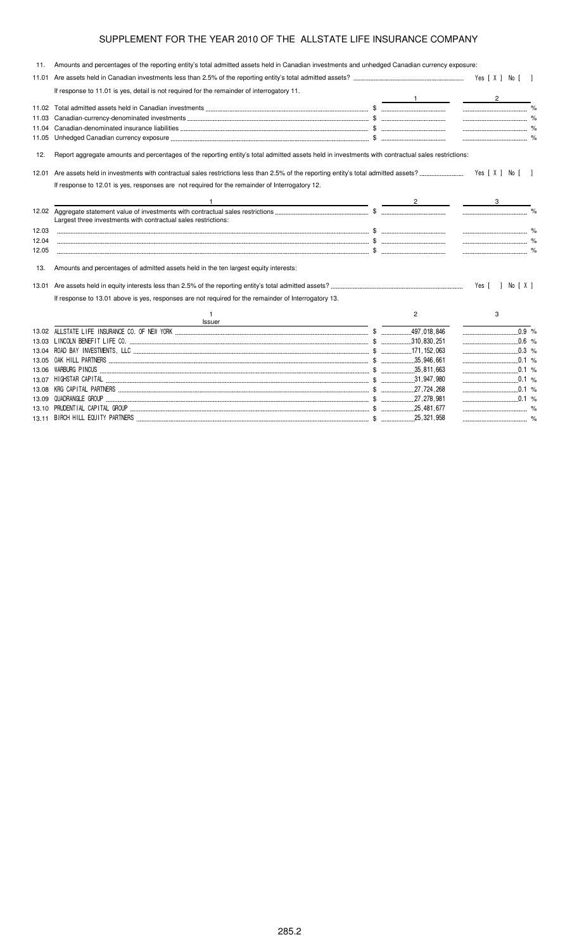| 11.   | Amounts and percentages of the reporting entity's total admitted assets held in Canadian investments and unhedged Canadian currency exposure:     |                |                          |  |
|-------|---------------------------------------------------------------------------------------------------------------------------------------------------|----------------|--------------------------|--|
| 11.01 |                                                                                                                                                   |                |                          |  |
|       | If response to 11.01 is yes, detail is not required for the remainder of interrogatory 11.                                                        |                | $\overline{2}$           |  |
| 11.02 |                                                                                                                                                   |                |                          |  |
| 11.03 |                                                                                                                                                   |                |                          |  |
| 11.04 |                                                                                                                                                   |                |                          |  |
| 11.05 |                                                                                                                                                   |                |                          |  |
| 12.   | Report aggregate amounts and percentages of the reporting entity's total admitted assets held in investments with contractual sales restrictions: |                |                          |  |
| 12.01 |                                                                                                                                                   |                | Yes [ X ] No [ ]         |  |
|       | If response to 12.01 is yes, responses are not required for the remainder of Interrogatory 12.                                                    |                |                          |  |
|       | <u> 1980 - Johann Stone, mars et al. (</u> † 1920)                                                                                                |                |                          |  |
|       | Largest three investments with contractual sales restrictions:                                                                                    |                | $\overline{\phantom{a}}$ |  |
| 12.03 |                                                                                                                                                   |                |                          |  |
| 12.04 |                                                                                                                                                   |                |                          |  |
| 12.05 |                                                                                                                                                   |                |                          |  |
| 13.   | Amounts and percentages of admitted assets held in the ten largest equity interests:                                                              |                |                          |  |
| 13.01 |                                                                                                                                                   |                | Yes [ ] No [ X ]         |  |
|       | If response to 13.01 above is yes, responses are not required for the remainder of Interrogatory 13.                                              |                |                          |  |
|       | Issuer                                                                                                                                            | $\overline{2}$ | 3                        |  |
|       |                                                                                                                                                   |                | $0.\overline{9}$ %       |  |
|       |                                                                                                                                                   |                | $0.6 %$                  |  |
|       |                                                                                                                                                   |                | $\ldots$ 0.3 %           |  |
|       |                                                                                                                                                   |                |                          |  |
| 13.06 |                                                                                                                                                   |                |                          |  |
|       |                                                                                                                                                   |                |                          |  |
|       |                                                                                                                                                   |                |                          |  |
|       |                                                                                                                                                   |                |                          |  |

13.10 (\$ ( )( \$ "# % 13.11 ' ' \* (  \$ "#!"# %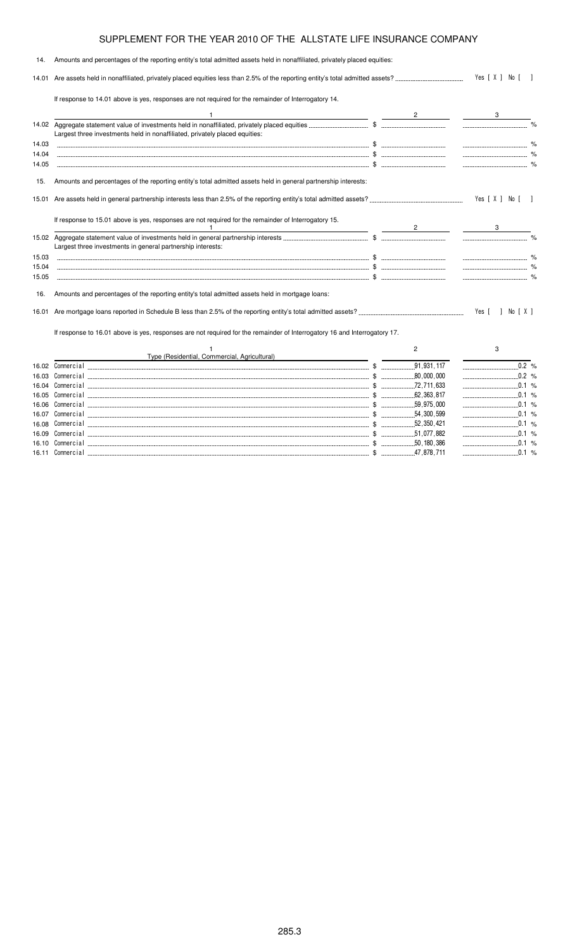| 14.   | Amounts and percentages of the reporting entity's total admitted assets held in nonaffiliated, privately placed equities:                                         |                |                   |  |
|-------|-------------------------------------------------------------------------------------------------------------------------------------------------------------------|----------------|-------------------|--|
|       |                                                                                                                                                                   |                | Yes [ X ] No [ ]  |  |
|       | If response to 14.01 above is yes, responses are not required for the remainder of Interrogatory 14.                                                              |                |                   |  |
|       | <u> 1989 - Johann Barn, mars and de Branch Barn, mars and de Branch Barn, mars and de Branch Barn, mars and de Br</u>                                             |                | $3 \quad \qquad$  |  |
|       | Largest three investments held in nonaffiliated, privately placed equities:                                                                                       |                |                   |  |
| 14.03 |                                                                                                                                                                   |                |                   |  |
| 14.04 |                                                                                                                                                                   |                |                   |  |
| 14.05 |                                                                                                                                                                   |                |                   |  |
| 15.   | Amounts and percentages of the reporting entity's total admitted assets held in general partnership interests:                                                    |                |                   |  |
|       |                                                                                                                                                                   |                | Yes [ X ] No [  ] |  |
|       | If response to 15.01 above is yes, responses are not required for the remainder of Interrogatory 15.<br><u> 1989 - Johann Barnett, fransk politiker (d. 1989)</u> |                | $\sim$ 3          |  |
|       | Largest three investments in general partnership interests:                                                                                                       |                |                   |  |
| 15.03 |                                                                                                                                                                   |                |                   |  |
| 15.04 |                                                                                                                                                                   |                |                   |  |
| 15.05 |                                                                                                                                                                   |                |                   |  |
| 16.   | Amounts and percentages of the reporting entity's total admitted assets held in mortgage loans:                                                                   |                |                   |  |
|       |                                                                                                                                                                   |                |                   |  |
|       | If response to 16.01 above is yes, responses are not required for the remainder of Interrogatory 16 and Interrogatory 17.                                         |                |                   |  |
|       |                                                                                                                                                                   | $\overline{2}$ | 3                 |  |
|       | Type (Residential, Commercial, Agricultural)                                                                                                                      |                |                   |  |
| 16.02 |                                                                                                                                                                   |                |                   |  |
|       |                                                                                                                                                                   |                |                   |  |
|       |                                                                                                                                                                   |                |                   |  |
|       |                                                                                                                                                                   |                |                   |  |
|       |                                                                                                                                                                   |                |                   |  |

 \$ %

16.09 - \$ %

 \$ %

 \$ %

 $\cdots$  47,878,711

16.07 Comme

16.08 Comme

16.10 Comme

16.11 Comme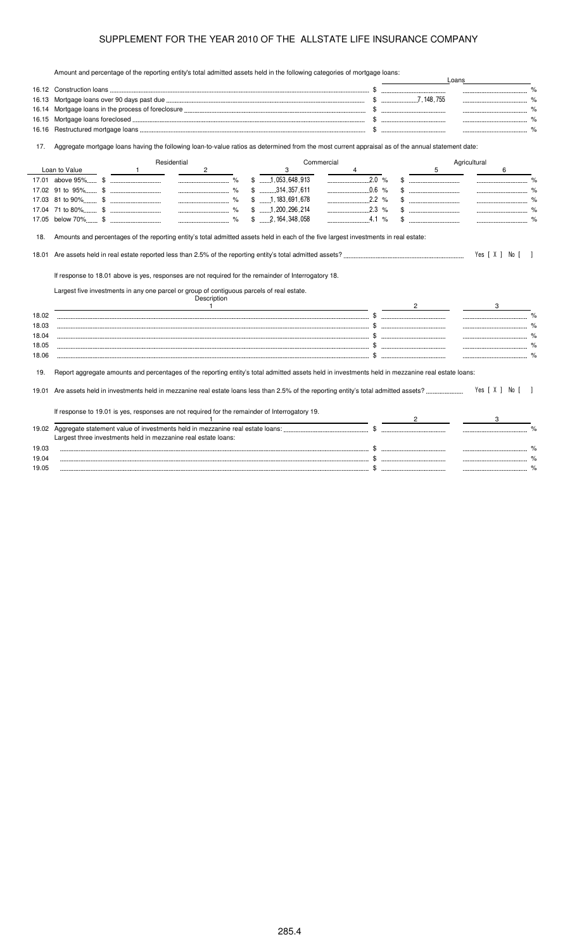Amount and percentage of the reporting entity's total admitted assets held in the following categories of mortgage loans:

|       |                                                                                                                                                   |  |                                        | Loans                                 |                    |
|-------|---------------------------------------------------------------------------------------------------------------------------------------------------|--|----------------------------------------|---------------------------------------|--------------------|
|       |                                                                                                                                                   |  | -------------------------------------- |                                       | $\%$               |
| 16.13 |                                                                                                                                                   |  | $$$ $7,148,755$                        |                                       | %                  |
|       |                                                                                                                                                   |  |                                        |                                       |                    |
| 16.15 |                                                                                                                                                   |  |                                        |                                       |                    |
| 16.16 |                                                                                                                                                   |  |                                        |                                       |                    |
| 17.   | Aggregate mortgage loans having the following loan-to-value ratios as determined from the most current appraisal as of the annual statement date: |  |                                        |                                       |                    |
|       | Residential<br>Commercial                                                                                                                         |  |                                        | Agricultural                          |                    |
|       | Loan to Value<br>$\mathbf{2}$<br>3<br>$\frac{1}{1}$<br>4                                                                                          |  | 5                                      | 6                                     |                    |
|       | $$$ 1,053,648,913<br>$\begin{array}{cccccc} \multicolumn{3}{c}{{\bf 2.0}} & \infty \end{array}$                                                   |  |                                        |                                       | $\frac{9}{6}$      |
|       | $0.6$ %<br>$$$ , 314, 357, 611                                                                                                                    |  |                                        |                                       | $\frac{9}{6}$      |
|       | $\ldots$ 2.2 %<br>$$$ 1, 183, 691, 678                                                                                                            |  | $\$\quad$                              |                                       | $\%$               |
|       | $$$ 1.200.296.214                                                                                                                                 |  |                                        |                                       |                    |
|       | $$ \dots 2, 164, 348, 058$<br>$4.1\%$                                                                                                             |  |                                        |                                       |                    |
| 18.   | Amounts and percentages of the reporting entity's total admitted assets held in each of the five largest investments in real estate:              |  |                                        |                                       |                    |
|       |                                                                                                                                                   |  |                                        |                                       |                    |
| 18.01 |                                                                                                                                                   |  |                                        | Yes [ X ] No [                        |                    |
|       | If response to 18.01 above is yes, responses are not required for the remainder of Interrogatory 18.                                              |  |                                        |                                       |                    |
|       |                                                                                                                                                   |  |                                        |                                       |                    |
|       | Largest five investments in any one parcel or group of contiguous parcels of real estate.<br>Description<br>$\overline{1}$                        |  |                                        |                                       |                    |
| 18.02 |                                                                                                                                                   |  |                                        |                                       | $\frac{1}{\alpha}$ |
| 18.03 |                                                                                                                                                   |  |                                        | $\sim$ $\sim$ $\sim$                  |                    |
| 18.04 |                                                                                                                                                   |  |                                        |                                       |                    |
| 18.05 |                                                                                                                                                   |  |                                        |                                       |                    |
|       |                                                                                                                                                   |  |                                        |                                       |                    |
| 18.06 |                                                                                                                                                   |  |                                        |                                       |                    |
| 19.   | Report aggregate amounts and percentages of the reporting entity's total admitted assets held in investments held in mezzanine real estate loans: |  |                                        |                                       |                    |
| 19.01 |                                                                                                                                                   |  |                                        | Yes [ X ] No [ ]                      |                    |
|       |                                                                                                                                                   |  |                                        |                                       |                    |
|       | If response to 19.01 is yes, responses are not required for the remainder of Interrogatory 19.                                                    |  |                                        |                                       |                    |
| 19.02 |                                                                                                                                                   |  |                                        |                                       |                    |
|       | Largest three investments held in mezzanine real estate loans:                                                                                    |  |                                        |                                       |                    |
| 19.03 |                                                                                                                                                   |  |                                        |                                       |                    |
| 19.04 |                                                                                                                                                   |  |                                        |                                       |                    |
| 19.05 |                                                                                                                                                   |  |                                        | ------------------------------------- | %                  |